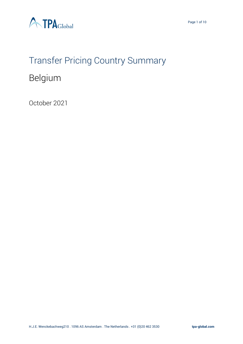



## Transfer Pricing Country Summary

## Belgium

October 2021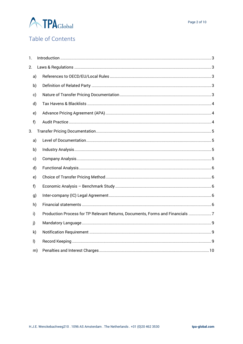

### Table of Contents

| 1.           |    |                                                                               |  |
|--------------|----|-------------------------------------------------------------------------------|--|
| 2.           |    |                                                                               |  |
|              | a) |                                                                               |  |
|              | b) |                                                                               |  |
|              | c) |                                                                               |  |
|              | d) |                                                                               |  |
|              | e) |                                                                               |  |
| f)           |    |                                                                               |  |
| 3.           |    |                                                                               |  |
|              | a) |                                                                               |  |
|              | b) |                                                                               |  |
|              | c) |                                                                               |  |
|              | d) |                                                                               |  |
|              | e) |                                                                               |  |
| f)           |    |                                                                               |  |
|              | g) |                                                                               |  |
|              | h) |                                                                               |  |
| i)           |    | Production Process for TP Relevant Returns, Documents, Forms and Financials 7 |  |
| j)           |    |                                                                               |  |
|              | k) |                                                                               |  |
| $\mathsf{I}$ |    |                                                                               |  |
|              | m) |                                                                               |  |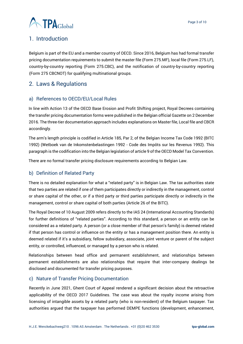

### <span id="page-2-0"></span>1. Introduction

Belgium is part of the EU and a member country of OECD. Since 2016, Belgium has had formal transfer pricing documentation requirements to submit the master file (Form 275.MF), local file (Form 275.LF), country-by-country reporting (Form 275.CBC), and the notification of country-by-country reporting (Form 275 CBCNOT) for qualifying multinational groups.

### <span id="page-2-1"></span>2. Laws & Regulations

#### <span id="page-2-2"></span>a) References to OECD/EU/Local Rules

In line with Action 13 of the OECD Base Erosion and Profit Shifting project, Royal Decrees containing the transfer pricing documentation forms were published in the Belgian official Gazette on 2 December 2016. The three-tier documentation approach includes explanations on Master file, Local file and CBCR accordingly.

The arm's length principle is codified in Article 185, Par 2, of the Belgian Income Tax Code 1992 (BITC 1992) (Wetboek van de Inkomstenbelastingen 1992 - Code des Impôts sur les Revenus 1992). This paragraph is the codification into the Belgian legislation of article 9 of the OECD Model Tax Convention.

There are no formal transfer pricing disclosure requirements according to Belgian Law.

#### <span id="page-2-3"></span>b) Definition of Related Party

There is no detailed explanation for what a "related party" is in Belgian Law. The tax authorities state that two parties are related if one of them participates directly or indirectly in the management, control or share capital of the other, or if a third party or third parties participate directly or indirectly in the management, control or share capital of both parties (Article 26 of the BITC).

The Royal Decree of 10 August 2009 refers directly to the IAS 24 (International Accounting Standards) for further definitions of "related parties". According to this standard, a person or an entity can be considered as a related party. A person (or a close member of that person's family) is deemed related if that person has control or influence on the entity or has a management position there. An entity is deemed related if it's a subsidiary, fellow subsidiary, associate, joint venture or parent of the subject entity, or controlled, influenced, or managed by a person who is related.

Relationships between head office and permanent establishment, and relationships between permanent establishments are also relationships that require that inter-company dealings be disclosed and documented for transfer pricing purposes.

#### <span id="page-2-4"></span>c) Nature of Transfer Pricing Documentation

Recently in June 2021, Ghent Court of Appeal rendered a significant decision about the retroactive applicability of the OECD 2017 Guidelines. The case was about the royalty income arising from licensing of intangible assets by a related party (who is non-resident) of the Belgium taxpayer. Tax authorities argued that the taxpayer has performed DEMPE functions (development, enhancement,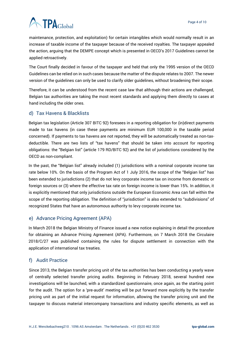# **A TPA**Global

maintenance, protection, and exploitation) for certain intangibles which would normally result in an increase of taxable income of the taxpayer because of the received royalties. The taxpayer appealed the action, arguing that the DEMPE concept which is presented in OECD's 2017 Guidelines cannot be applied retroactively.

The Court finally decided in favour of the taxpayer and held that only the 1995 version of the OECD Guidelines can be relied on in such cases because the matter of the dispute relates to 2007. The newer version of the guidelines can only be used to clarify older guidelines, without broadening their scope.

Therefore, it can be understood from the recent case law that although their actions are challenged, Belgian tax authorities are taking the most recent standards and applying them directly to cases at hand including the older ones.

#### <span id="page-3-0"></span>d) Tax Havens & Blacklists

Belgian tax legislation (Article 307 BITC 92) foresees in a reporting obligation for (in)direct payments made to tax havens (in case these payments are minimum EUR 100,000 in the taxable period concerned). If payments to tax havens are not reported, they will be automatically treated as non-taxdeductible. There are two lists of "tax havens" that should be taken into account for reporting obligations: the "Belgian list" (article 179 RD/BITC 92) and the list of jurisdictions considered by the OECD as non-compliant.

In the past, the "Belgian list" already included (1) jurisdictions with a nominal corporate income tax rate below 10%. On the basis of the Program Act of 1 July 2016, the scope of the "Belgian list" has been extended to jurisdictions (2) that do not levy corporate income tax on income from domestic or foreign sources or (3) where the effective tax rate on foreign income is lower than 15%. In addition, it is explicitly mentioned that only jurisdictions outside the European Economic Area can fall within the scope of the reporting obligation. The definition of "jurisdiction" is also extended to "subdivisions" of recognized States that have an autonomous authority to levy corporate income tax.

#### <span id="page-3-1"></span>e) Advance Pricing Agreement (APA)

In March 2018 the Belgian Ministry of Finance issued a new notice explaining in detail the procedure for obtaining an Advance Pricing Agreement (APA). Furthermore, on 7 March 2018 the Circulaire 2018/C/27 was published containing the rules for dispute settlement in connection with the application of international tax treaties.

#### <span id="page-3-2"></span>f) Audit Practice

Since 2013, the Belgian transfer pricing unit of the tax authorities has been conducting a yearly wave of centrally selected transfer pricing audits. Beginning in February 2018, several hundred new investigations will be launched, with a standardized questionnaire, once again, as the starting point for the audit. The option for a 'pre-audit' meeting will be put forward more explicitly by the transfer pricing unit as part of the initial request for information, allowing the transfer pricing unit and the taxpayer to discuss material intercompany transactions and industry specific elements, as well as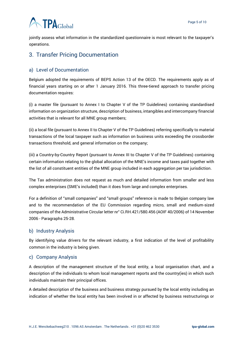# **ATPA**Global

jointly assess what information in the standardized questionnaire is most relevant to the taxpayer's operations.

### <span id="page-4-0"></span>3. Transfer Pricing Documentation

#### <span id="page-4-1"></span>a) Level of Documentation

Belgium adopted the requirements of BEPS Action 13 of the OECD. The requirements apply as of financial years starting on or after 1 January 2016. This three-tiered approach to transfer pricing documentation requires:

(i) a master file (pursuant to Annex I to Chapter V of the TP Guidelines) containing standardised information on organization structure, description of business, intangibles and intercompany financial activities that is relevant for all MNE group members;

(ii) a local file (pursuant to Annex II to Chapter V of the TP Guidelines) referring specifically to material transactions of the local taxpayer such as information on business units exceeding the crossborder transactions threshold, and general information on the company;

(iii) a Country-by-Country Report (pursuant to Annex III to Chapter V of the TP Guidelines) containing certain information relating to the global allocation of the MNE's income and taxes paid together with the list of all constituent entities of the MNE group included in each aggregation per tax jurisdiction.

The Tax administration does not request as much and detailed information from smaller and less complex enterprises (SME's included) than it does from large and complex enterprises.

For a definition of "small companies" and "small groups" reference is made to Belgian company law and to the recommendation of the EU Commission regarding micro, small and medium-sized companies of the Administrative Circular letter nr° Ci.RH.421/580.456 (AOIF 40/2006) of 14 November 2006 - Paragraphs 25-28.

#### <span id="page-4-2"></span>b) Industry Analysis

By identifying value drivers for the relevant industry, a first indication of the level of profitability common in the industry is being given.

#### <span id="page-4-3"></span>c) Company Analysis

A description of the management structure of the local entity, a local organisation chart, and a description of the individuals to whom local management reports and the country(ies) in which such individuals maintain their principal offices.

A detailed description of the business and business strategy pursued by the local entity including an indication of whether the local entity has been involved in or affected by business restructurings or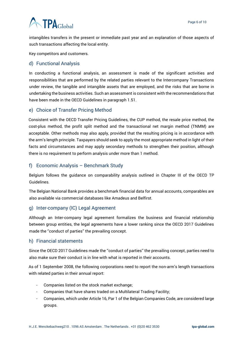# **ATPA**Global

intangibles transfers in the present or immediate past year and an explanation of those aspects of such transactions affecting the local entity.

Key competitors and customers.

#### <span id="page-5-0"></span>d) Functional Analysis

In conducting a functional analysis, an assessment is made of the significant activities and responsibilities that are performed by the related parties relevant to the Intercompany Transactions under review, the tangible and intangible assets that are employed, and the risks that are borne in undertaking the business activities. Such an assessment is consistent with the recommendations that have been made in the OECD Guidelines in paragraph 1.51.

#### <span id="page-5-1"></span>e) Choice of Transfer Pricing Method

Consistent with the OECD Transfer Pricing Guidelines, the CUP method, the resale price method, the cost-plus method, the profit split method and the transactional net margin method (TNMM) are acceptable. Other methods may also apply, provided that the resulting pricing is in accordance with the arm's length principle. Taxpayers should seek to apply the most appropriate method in light of their facts and circumstances and may apply secondary methods to strengthen their position, although there is no requirement to perform analysis under more than 1 method.

#### <span id="page-5-2"></span>f) Economic Analysis – Benchmark Study

Belgium follows the guidance on comparability analysis outlined in Chapter III of the OECD TP Guidelines.

The Belgian National Bank provides a benchmark financial data for annual accounts, comparables are also available via commercial databases like Amadeus and Belfirst.

#### <span id="page-5-3"></span>g) Inter-company (IC) Legal Agreement

Although an Inter-company legal agreement formalizes the business and financial relationship between group entities, the legal agreements have a lower ranking since the OECD 2017 Guidelines made the ''conduct of parties'' the prevailing concept.

#### <span id="page-5-4"></span>h) Financial statements

Since the OECD 2017 Guidelines made the ''conduct of parties'' the prevailing concept, parties need to also make sure their conduct is in line with what is reported in their accounts.

As of 1 September 2008, the following corporations need to report the non-arm's length transactions with related parties in their annual report:

- Companies listed on the stock market exchange;
- Companies that have shares traded on a Multilateral Trading Facility;
- Companies, which under Article 16, Par 1 of the Belgian Companies Code, are considered large groups.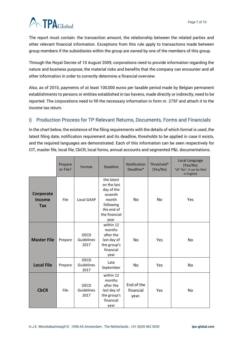# **ATPA**Global

The report must contain: the transaction amount, the relationship between the related parties and other relevant financial information. Exceptions from this rule apply to transactions made between group members if the subsidiaries within the group are owned by one of the members of this group.

Through the Royal Decree of 10 August 2009, corporations need to provide information regarding the nature and business purpose, the material risks and benefits that the company can encounter and all other information in order to correctly determine a financial overview.

Also, as of 2010, payments of at least 100,000 euros per taxable period made by Belgian permanent establishments to persons or entities established in tax havens, made directly or indirectly, need to be reported. The corporations need to fill the necessary information in form nr. 275F and attach it to the income tax return.

#### <span id="page-6-0"></span>i) Production Process for TP Relevant Returns, Documents, Forms and Financials

In the chart below, the existence of the filing requirements with the details of which format is used, the latest filing date, notification requirement and its deadline, thresholds to be applied in case it exists, and the required languages are demonstrated. Each of this information can be seen respectively for CIT, master file, local file, CbCR, local forms, annual accounts and segmented P&L documentations.

|                                          | Prepare<br>or File? | Format                                   | <b>Deadline</b>                                                                                                 | <b>Notification</b><br>Deadline* | Threshold*<br>(Yes/No) | Local Language<br>(Yes/No)<br>*(If "No", it can be filed<br>in English) |
|------------------------------------------|---------------------|------------------------------------------|-----------------------------------------------------------------------------------------------------------------|----------------------------------|------------------------|-------------------------------------------------------------------------|
| Corporate<br><b>Income</b><br><b>Tax</b> | File                | <b>Local GAAP</b>                        | the latest<br>on the last<br>day of the<br>seventh<br>month<br>following<br>the end of<br>the financial<br>year | <b>No</b>                        | <b>No</b>              | Yes                                                                     |
| <b>Master File</b>                       | Prepare             | <b>OECD</b><br><b>Guidelines</b><br>2017 | within 12<br>months<br>after the<br>last day of<br>the group's<br>financial<br>year                             | No                               | Yes                    | No                                                                      |
| <b>Local File</b>                        | Prepare             | OECD<br>Guidelines<br>2017               | Late<br>September                                                                                               | <b>No</b>                        | Yes                    | <b>No</b>                                                               |
| <b>CbCR</b>                              | File                | <b>OECD</b><br>Guidelines<br>2017        | within 12<br>months<br>after the<br>last day of<br>the group's<br>financial<br>year                             | End of the<br>financial<br>year. | Yes                    | <b>No</b>                                                               |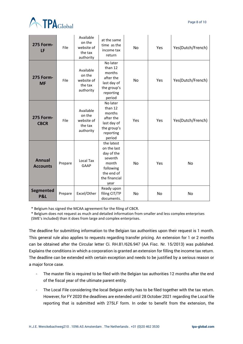

| <b>275 Form-</b><br>LF             | File    | Available<br>on the<br>website of<br>the tax<br>authority | at the same<br>time as the<br>income tax<br>return                                                              | No        | Yes | Yes(Dutch/French) |
|------------------------------------|---------|-----------------------------------------------------------|-----------------------------------------------------------------------------------------------------------------|-----------|-----|-------------------|
| <b>275 Form-</b><br><b>MF</b>      | File    | Available<br>on the<br>website of<br>the tax<br>authority | No later<br>than 12<br>months<br>after the<br>last day of<br>the group's<br>reporting<br>period                 | <b>No</b> | Yes | Yes(Dutch/French) |
| <b>275 Form-</b><br><b>CBCR</b>    | File    | Available<br>on the<br>website of<br>the tax<br>authority | No later<br>than 12<br>months<br>after the<br>last day of<br>the group's<br>reporting<br>period                 | Yes       | Yes | Yes(Dutch/French) |
| <b>Annual</b><br><b>Accounts</b>   | Prepare | Local Tax<br>GAAP                                         | the latest<br>on the last<br>day of the<br>seventh<br>month<br>following<br>the end of<br>the financial<br>year | <b>No</b> | Yes | No                |
| <b>Segmented</b><br><b>P&amp;L</b> | Prepare | Excel/Other                                               | Ready upon<br>filing CIT/TP<br>documents.                                                                       | No        | No  | No                |

\* Belgium has signed the MCAA agreement for the filing of CBCR.

\* Belgium does not request as much and detailed information from smaller and less complex enterprises (SME's included) than it does from large and complex enterprises.

The deadline for submitting information to the Belgian tax authorities upon their request is 1 month. This general rule also applies to requests regarding transfer pricing. An extension for 1 or 2 months can be obtained after the Circular letter Ci. RH.81/626.947 (AA Fisc. Nr. 15/2013) was published. Explains the conditions in which a corporation is granted an extension for filling the income tax return. The deadline can be extended with certain exception and needs to be justified by a serious reason or a major force case.

- The master file is required to be filed with the Belgian tax authorities 12 months after the end of the fiscal year of the ultimate parent entity.
- The Local File considering the local Belgian entity has to be filed together with the tax return. However, for FY 2020 the deadlines are extended until 28 October 2021 regarding the Local file reporting that is submitted with 275LF form. In order to benefit from the extension, the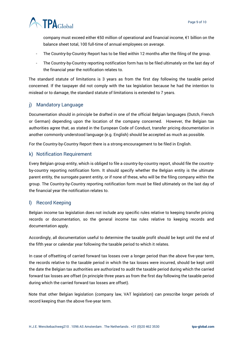

company must exceed either €50 million of operational and financial income, €1 billion on the balance sheet total, 100 full-time of annual employees on average.

- The Country-by-Country Report has to be filed within 12 months after the filing of the group.
- The Country-by-Country reporting notification form has to be filed ultimately on the last day of the financial year the notification relates to.

The standard statute of limitations is 3 years as from the first day following the taxable period concerned. If the taxpayer did not comply with the tax legislation because he had the intention to mislead or to damage, the standard statute of limitations is extended to 7 years.

#### <span id="page-8-0"></span>j) Mandatory Language

Documentation should in principle be drafted in one of the official Belgian languages (Dutch, French or German) depending upon the location of the company concerned. However, the Belgian tax authorities agree that, as stated in the European Code of Conduct, transfer pricing documentation in another commonly understood language (e.g. English) should be accepted as much as possible.

For the Country-by-Country Report there is a strong encouragement to be filed in English.

#### <span id="page-8-1"></span>k) Notification Requirement

Every Belgian group entity, which is obliged to file a country-by-country report, should file the countryby-country reporting notification form. It should specify whether the Belgian entity is the ultimate parent entity, the surrogate parent entity, or if none of these, who will be the filing company within the group. The Country-by-Country reporting notification form must be filed ultimately on the last day of the financial year the notification relates to.

#### <span id="page-8-2"></span>l) Record Keeping

Belgian income tax legislation does not include any specific rules relative to keeping transfer pricing records or documentation, so the general income tax rules relative to keeping records and documentation apply.

Accordingly, all documentation useful to determine the taxable profit should be kept until the end of the fifth year or calendar year following the taxable period to which it relates.

In case of offsetting of carried forward tax losses over a longer period than the above five-year term, the records relative to the taxable period in which the tax losses were incurred, should be kept until the date the Belgian tax authorities are authorized to audit the taxable period during which the carried forward tax losses are offset (in principle three years as from the first day following the taxable period during which the carried forward tax losses are offset).

Note that other Belgian legislation (company law, VAT legislation) can prescribe longer periods of record keeping than the above five-year term.